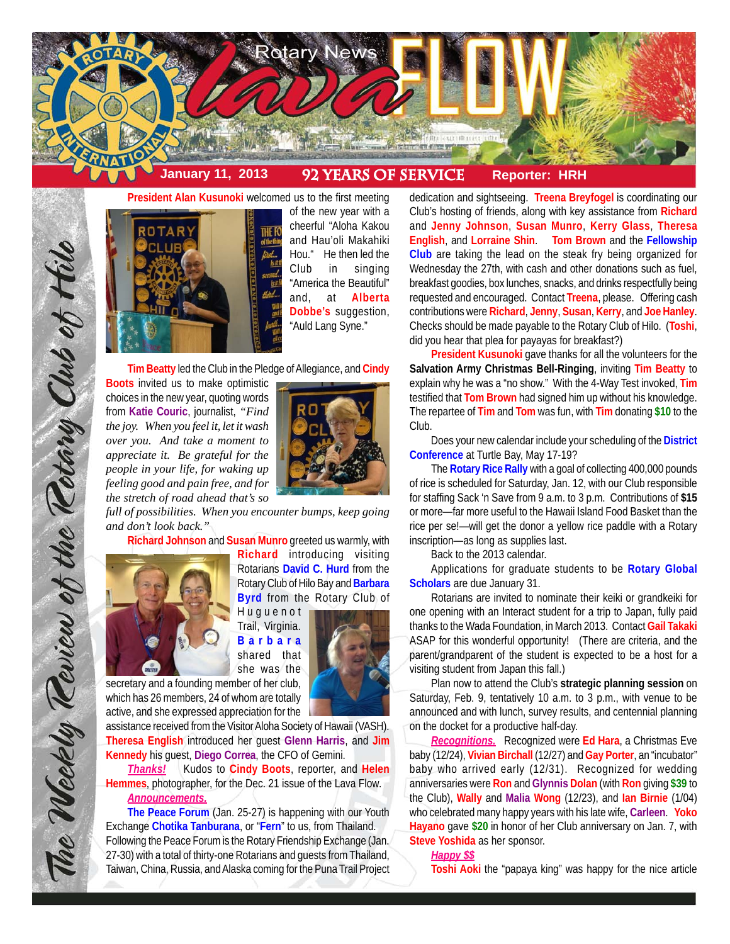



of the new year with a cheerful "Aloha Kakou and Hau'oli Makahiki Hou." He then led the Club in singing "America the Beautiful" and, at **Alberta Dobbe's** suggestion, "Auld Lang Syne."

**Tim Beatty** led the Club in the Pledge of Allegiance, and **Cindy**

**Boots** invited us to make optimistic choices in the new year, quoting words from **Katie Couric**, journalist, *"Find the joy. When you feel it, let it wash over you. And take a moment to appreciate it. Be grateful for the people in your life, for waking up feeling good and pain free, and for the stretch of road ahead that's so*



*full of possibilities. When you encounter bumps, keep going and don't look back."*

**Richard Johnson** and **Susan Munro** greeted us warmly, with



The Weekly Review of the Rotary Club of Hilo

**Richard** introducing visiting Rotarians **David C. Hurd** from the Rotary Club of Hilo Bay and **Barbara Byrd** from the Rotary Club of

Huguenot Trail, Virginia. **Barbara** shared that she was the

secretary and a founding member of her club, which has 26 members, 24 of whom are totally active, and she expressed appreciation for the

assistance received from the Visitor Aloha Society of Hawaii (VASH). **Theresa English** introduced her guest **Glenn Harris**, and **Jim Kennedy** his guest, **Diego Correa**, the CFO of Gemini.

*Thanks!* Kudos to **Cindy Boots**, reporter, and **Helen Hemmes**, photographer, for the Dec. 21 issue of the Lava Flow. *Announcements.*

**The Peace Forum** (Jan. 25-27) is happening with our Youth Exchange **Chotika Tanburana**, or "**Fern**" to us, from Thailand. Following the Peace Forum is the Rotary Friendship Exchange (Jan. 27-30) with a total of thirty-one Rotarians and guests from Thailand, Taiwan, China, Russia, and Alaska coming for the Puna Trail Project dedication and sightseeing. **Treena Breyfogel** is coordinating our Club's hosting of friends, along with key assistance from **Richard** and **Jenny Johnson**, **Susan Munro**, **Kerry Glass**, **Theresa English**, and **Lorraine Shin**. **Tom Brown** and the **Fellowship Club** are taking the lead on the steak fry being organized for Wednesday the 27th, with cash and other donations such as fuel, breakfast goodies, box lunches, snacks, and drinks respectfully being requested and encouraged. Contact **Treena**, please. Offering cash contributions were **Richard**, **Jenny**, **Susan**, **Kerry**, and **Joe Hanley**. Checks should be made payable to the Rotary Club of Hilo. (**Toshi**, did you hear that plea for payayas for breakfast?)

**President Kusunoki** gave thanks for all the volunteers for the **Salvation Army Christmas Bell-Ringing**, inviting **Tim Beatty** to explain why he was a "no show." With the 4-Way Test invoked, **Tim** testified that **Tom Brown** had signed him up without his knowledge. The repartee of **Tim** and **Tom** was fun, with **Tim** donating **\$10** to the Club.

Does your new calendar include your scheduling of the **District Conference** at Turtle Bay, May 17-19?

The **Rotary Rice Rally** with a goal of collecting 400,000 pounds of rice is scheduled for Saturday, Jan. 12, with our Club responsible for staffing Sack 'n Save from 9 a.m. to 3 p.m. Contributions of **\$15** or more—far more useful to the Hawaii Island Food Basket than the rice per se!—will get the donor a yellow rice paddle with a Rotary inscription—as long as supplies last.

Back to the 2013 calendar.

Applications for graduate students to be **Rotary Global Scholars** are due January 31.

Rotarians are invited to nominate their keiki or grandkeiki for one opening with an Interact student for a trip to Japan, fully paid thanks to the Wada Foundation, in March 2013. Contact **Gail Takaki** ASAP for this wonderful opportunity! (There are criteria, and the parent/grandparent of the student is expected to be a host for a visiting student from Japan this fall.)

Plan now to attend the Club's **strategic planning session** on Saturday, Feb. 9, tentatively 10 a.m. to 3 p.m., with venue to be announced and with lunch, survey results, and centennial planning on the docket for a productive half-day.

*Recognitions.* Recognized were **Ed Hara**, a Christmas Eve baby (12/24), **Vivian Birchall** (12/27) and **Gay Porter**, an "incubator" baby who arrived early (12/31). Recognized for wedding anniversaries were **Ron** and **Glynnis Dolan** (with **Ron** giving **\$39** to the Club), **Wally** and **Malia Wong** (12/23), and **Ian Birnie** (1/04) who celebrated many happy years with his late wife, **Carleen**. **Yoko Hayano** gave **\$20** in honor of her Club anniversary on Jan. 7, with **Steve Yoshida** as her sponsor.

*Happy \$\$*

**Toshi Aoki** the "papaya king" was happy for the nice article